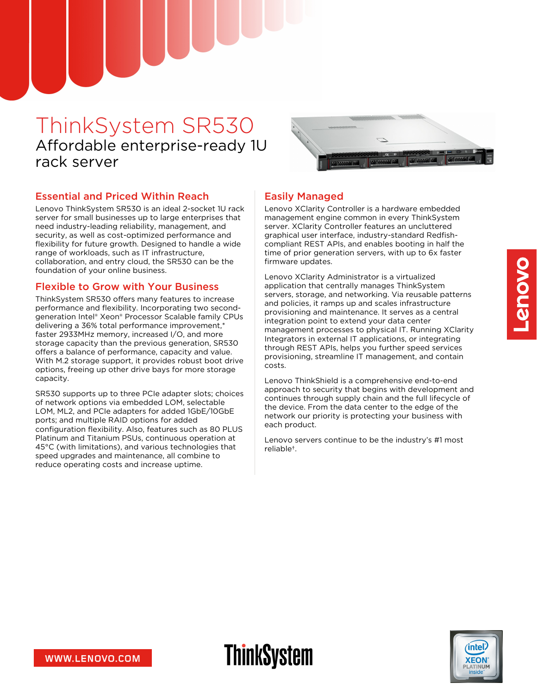# ThinkSystem SR530 Affordable enterprise-ready 1U rack server



#### Essential and Priced Within Reach

Lenovo ThinkSystem SR530 is an ideal 2-socket 1U rack server for small businesses up to large enterprises that need industry-leading reliability, management, and security, as well as cost-optimized performance and flexibility for future growth. Designed to handle a wide range of workloads, such as IT infrastructure, collaboration, and entry cloud, the SR530 can be the foundation of your online business.

#### Flexible to Grow with Your Business

ThinkSystem SR530 offers many features to increase performance and flexibility. Incorporating two secondgeneration Intel® Xeon® Processor Scalable family CPUs delivering a 36% total performance improvement,\* faster 2933MHz memory, increased I/O, and more storage capacity than the previous generation, SR530 offers a balance of performance, capacity and value. With M.2 storage support, it provides robust boot drive options, freeing up other drive bays for more storage capacity.

SR530 supports up to three PCIe adapter slots; choices of network options via embedded LOM, selectable LOM, ML2, and PCIe adapters for added 1GbE/10GbE ports; and multiple RAID options for added configuration flexibility. Also, features such as 80 PLUS Platinum and Titanium PSUs, continuous operation at 45°C (with limitations), and various technologies that speed upgrades and maintenance, all combine to reduce operating costs and increase uptime.

#### Easily Managed

**ThinkSystem** 

Lenovo XClarity Controller is a hardware embedded management engine common in every ThinkSystem server. XClarity Controller features an uncluttered graphical user interface, industry-standard Redfishcompliant REST APIs, and enables booting in half the time of prior generation servers, with up to 6x faster firmware updates.

Lenovo XClarity Administrator is a virtualized application that centrally manages ThinkSystem servers, storage, and networking. Via reusable patterns and policies, it ramps up and scales infrastructure provisioning and maintenance. It serves as a central integration point to extend your data center management processes to physical IT. Running XClarity Integrators in external IT applications, or integrating through REST APIs, helps you further speed services provisioning, streamline IT management, and contain costs.

Lenovo ThinkShield is a comprehensive end-to-end approach to security that begins with development and continues through supply chain and the full lifecycle of the device. From the data center to the edge of the network our priority is protecting your business with each product.

Lenovo servers continue to be the industry's #1 most reliable†.



intel

**XEON**